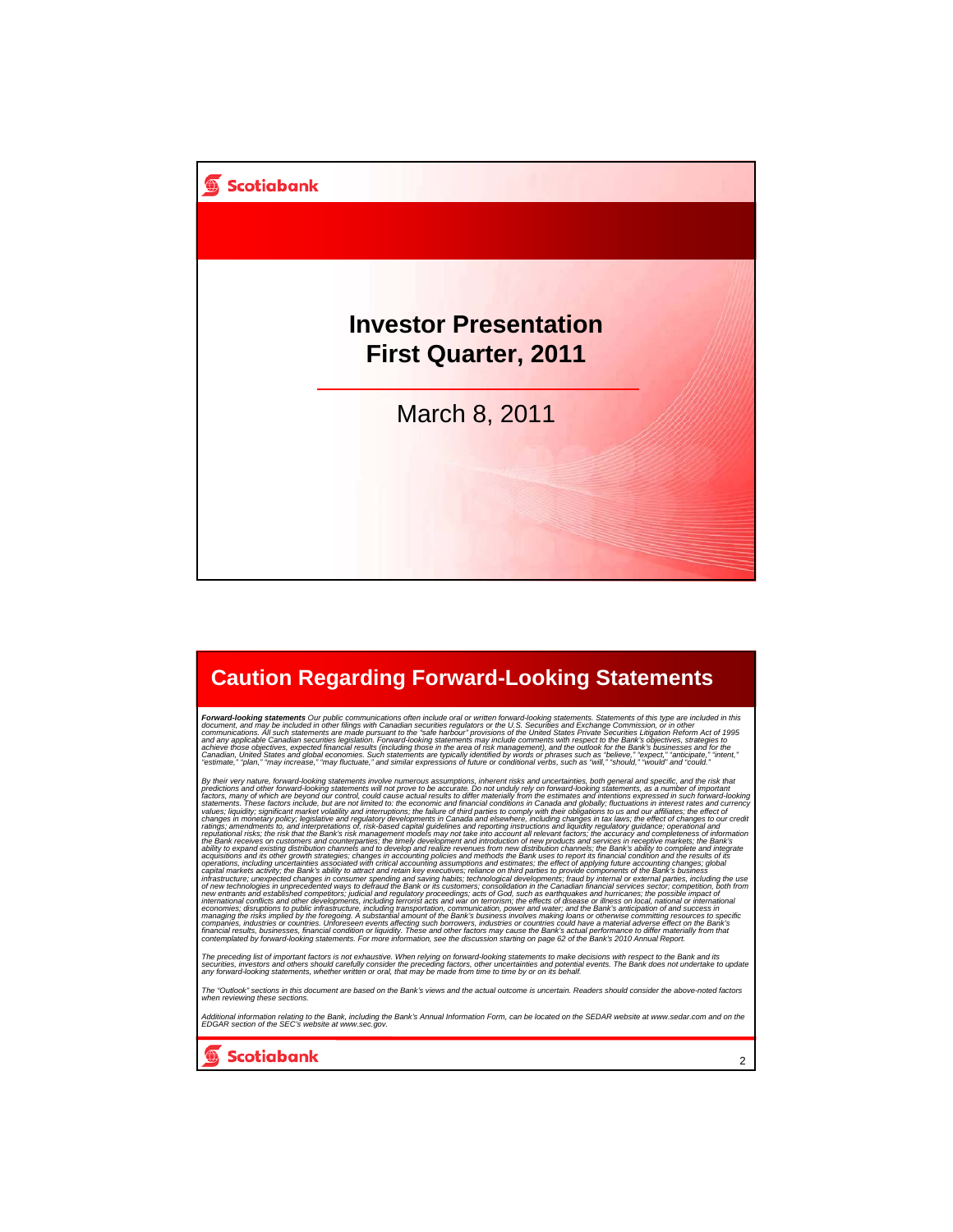

### **Caution Regarding Forward-Looking Statements**

Forward-looking statements Our public communications often include oral or written forward-looking statements. Statements of this type are included in this specially document and may be included in other filings with Canad

By their very nature, forward-looking statements involve numerous assumptions, inherent risks and uncertainties, both general and specific, and the risk that the risk that the risk that the risk that in specific and the fo capital markets activity; the Bank's ability to attract and retain key executives; reliance on third parties to provide components of the Bank's business<br>infrastructure; unexpected changes in consumer spending and saving h

The preceding list of important factors is not exhaustive. When relying on forward-looking statements to make decisions with respect to the Bank and its<br>securities, investors and others should carefully consider the preced

The "Outlook" sections in this document are based on the Bank's views and the actual outcome is uncertain. Readers should consider the above-noted factors<br>when reviewing these sections.

Additional information relating to the Bank, including the Bank's Annual Information Form, can be located on the SEDAR website at www.sedar.com and on the<br>EDGAR section of the SEC's website at www.sec.gov.

2

**Scotiabank**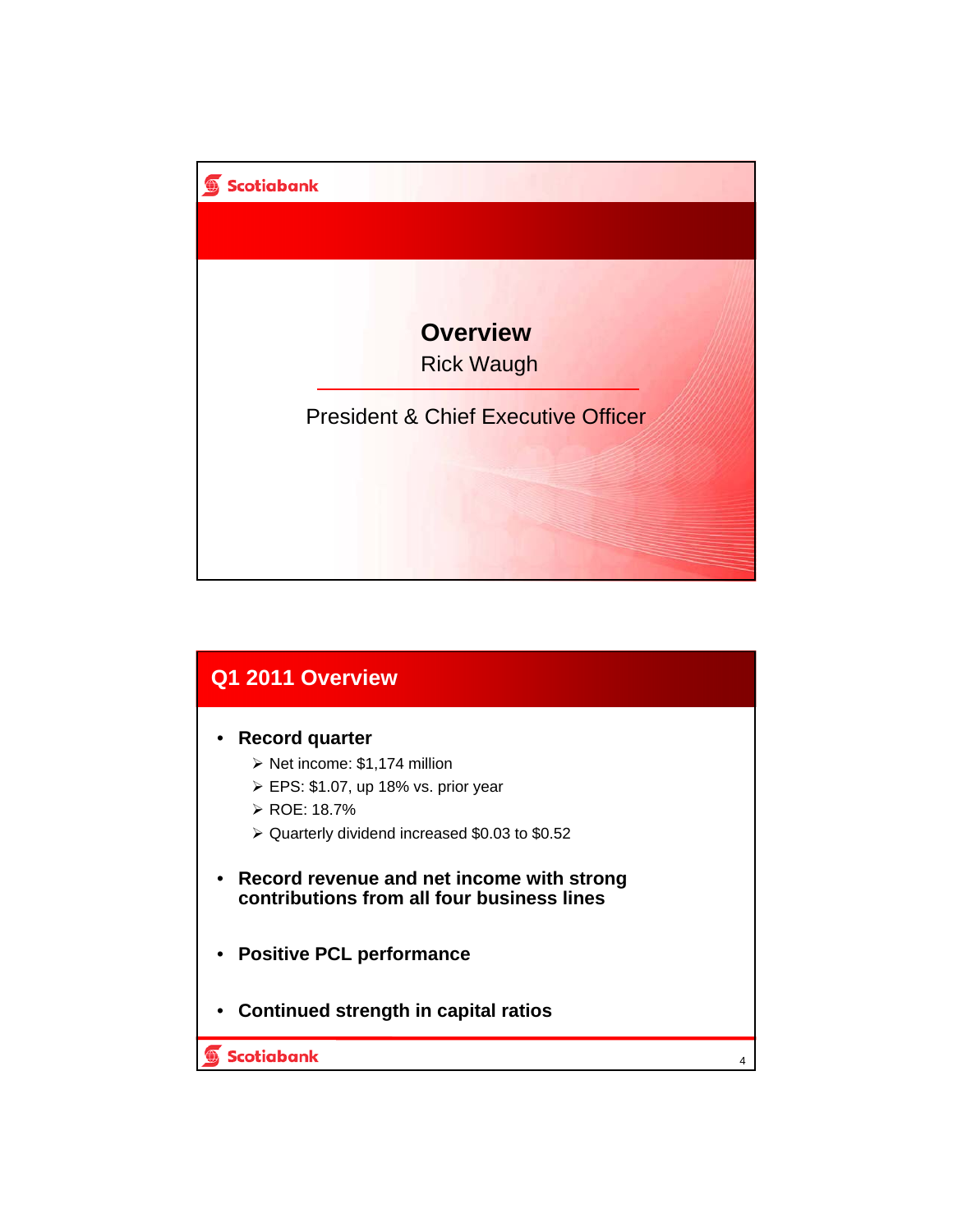

| Q1 2011 Overview                                                                                                                                                                                                       |   |
|------------------------------------------------------------------------------------------------------------------------------------------------------------------------------------------------------------------------|---|
| Record quarter<br>$\triangleright$ Net income: \$1,174 million<br>$\triangleright$ EPS: \$1.07, up 18% vs. prior year<br>$\triangleright$ ROE: 18.7%<br>$\triangleright$ Quarterly dividend increased \$0.03 to \$0.52 |   |
| • Record revenue and net income with strong<br>contributions from all four business lines                                                                                                                              |   |
| • Positive PCL performance                                                                                                                                                                                             |   |
| • Continued strength in capital ratios                                                                                                                                                                                 |   |
| Scotiabank                                                                                                                                                                                                             | 4 |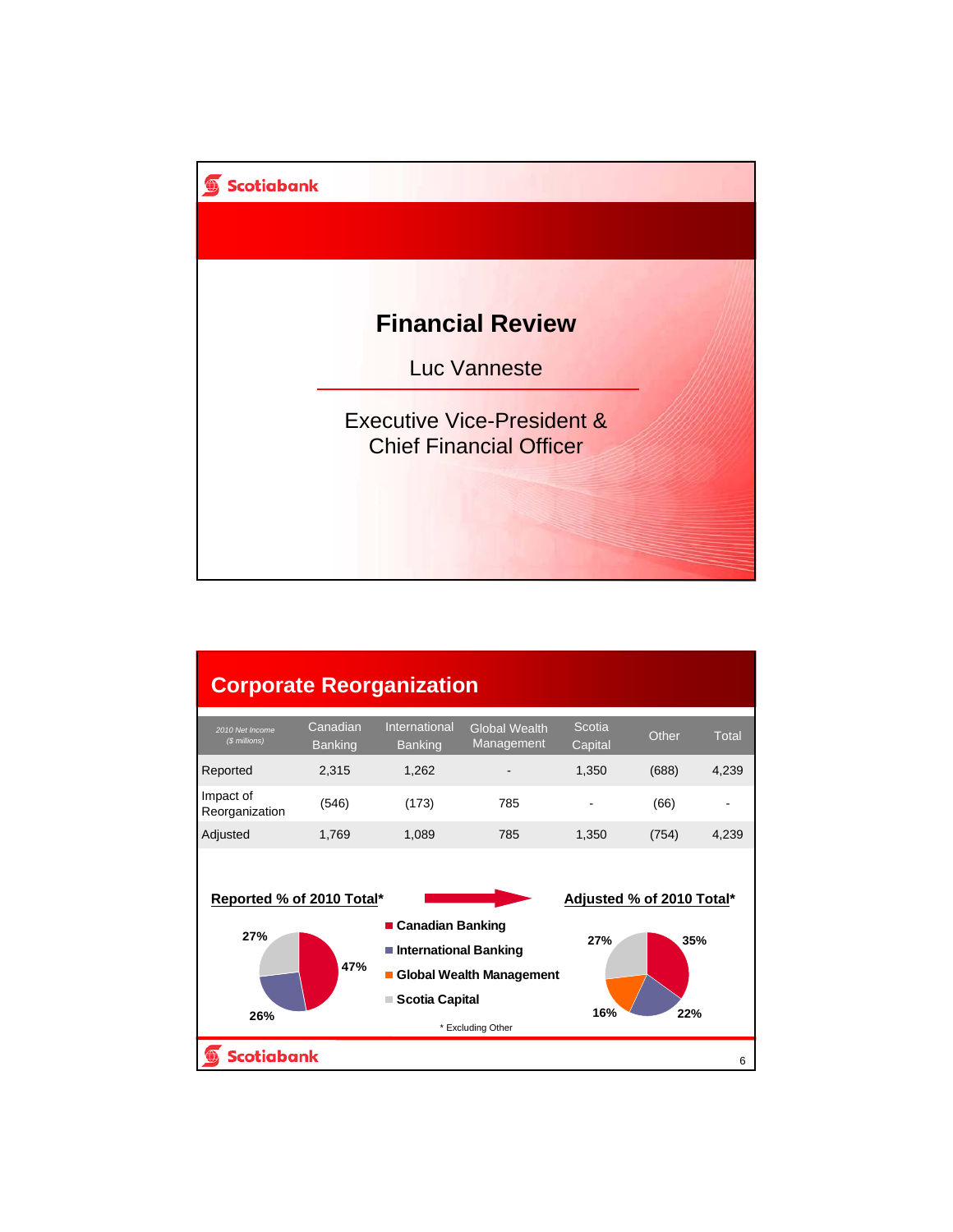

# **Corporate Reorganization**

| 2010 Net Income<br>(\$ millions) | Canadian<br><b>Banking</b> | International<br><b>Banking</b> | <b>Global Wealth</b><br>Management | Scotia<br>Capital        | Other | Total |
|----------------------------------|----------------------------|---------------------------------|------------------------------------|--------------------------|-------|-------|
| <b>Reported</b>                  | 2.315                      | 1.262                           | $\overline{\phantom{a}}$           | 1.350                    | (688) | 4,239 |
| Impact of<br>Reorganization      | (546)                      | (173)                           | 785                                | $\overline{\phantom{0}}$ | (66)  | -     |
| Adjusted                         | 1,769                      | 1,089                           | 785                                | 1.350                    | (754) | 4,239 |

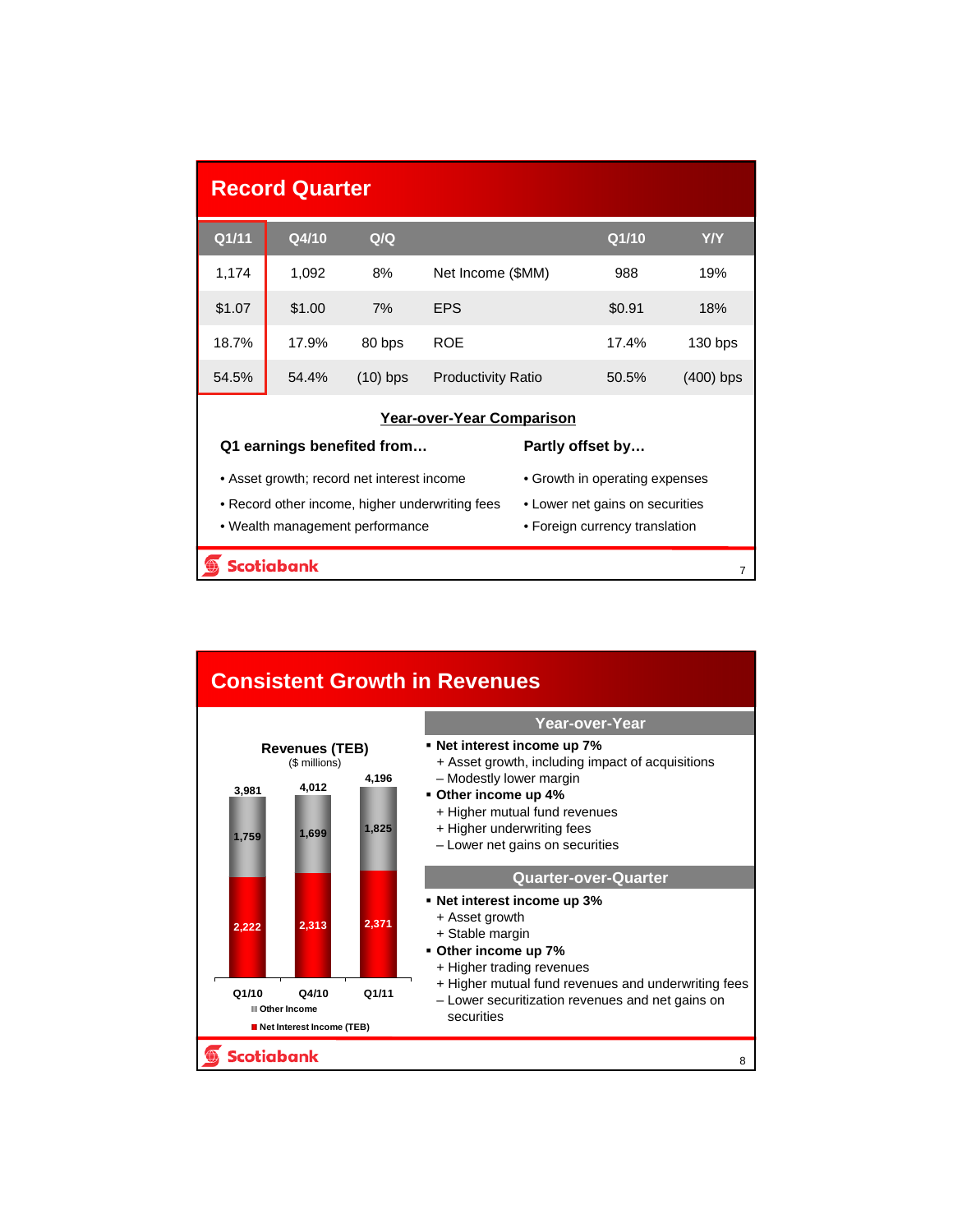| <b>Record Quarter</b> |                   |                                            |                                                 |                                 |                                |             |  |  |
|-----------------------|-------------------|--------------------------------------------|-------------------------------------------------|---------------------------------|--------------------------------|-------------|--|--|
| Q1/11                 | Q4/10             | Q/Q                                        |                                                 |                                 | Q1/10                          | <b>Y/Y</b>  |  |  |
| 1,174                 | 1,092             | 8%                                         | Net Income (\$MM)                               |                                 | 988                            | 19%         |  |  |
| \$1.07                | \$1.00            | 7%                                         | <b>EPS</b>                                      |                                 | \$0.91                         | 18%         |  |  |
| 18.7%                 | 17.9%             | 80 bps                                     | <b>ROE</b>                                      |                                 | 17.4%                          | $130$ bps   |  |  |
| 54.5%                 | 54.4%             | $(10)$ bps                                 | <b>Productivity Ratio</b>                       |                                 | 50.5%                          | $(400)$ bps |  |  |
|                       |                   |                                            | <b>Year-over-Year Comparison</b>                |                                 |                                |             |  |  |
|                       |                   | Q1 earnings benefited from                 |                                                 |                                 | Partly offset by               |             |  |  |
|                       |                   | • Asset growth; record net interest income |                                                 | • Growth in operating expenses  |                                |             |  |  |
|                       |                   |                                            | • Record other income, higher underwriting fees | • Lower net gains on securities |                                |             |  |  |
|                       |                   | • Wealth management performance            |                                                 |                                 | • Foreign currency translation |             |  |  |
|                       | <b>Scotiabank</b> |                                            |                                                 |                                 |                                |             |  |  |

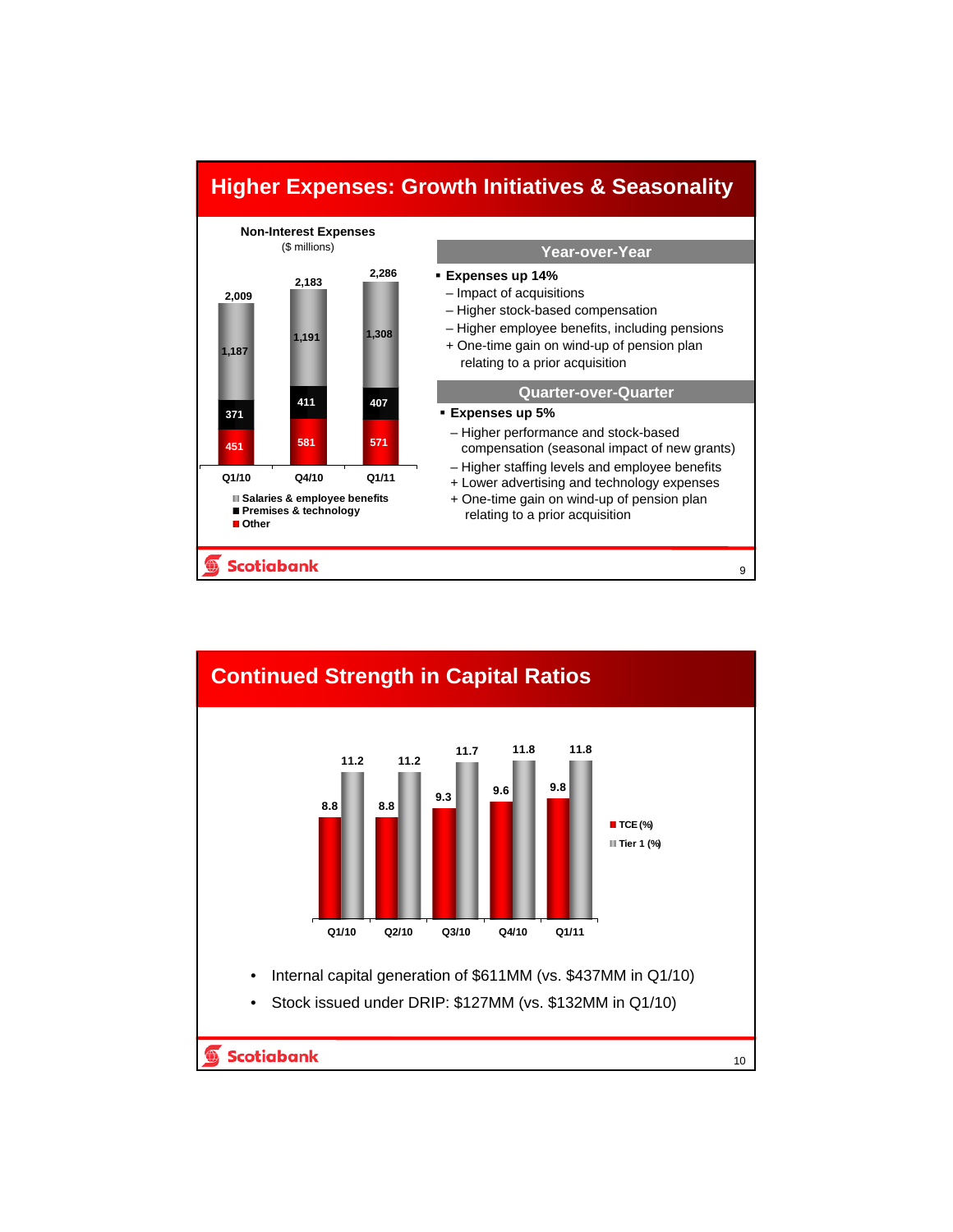

# **Continued Strength in Capital Ratios 11.7 11.8 11.8 11.2 11.2 9.3 9.6 9.8 8.8 8.8** ■ **TCE (%) Tier 1 (%) Q1/10 Q2/10 Q3/10 Q4/10 Q1/11** • Internal capital generation of \$611MM (vs. \$437MM in Q1/10) • Stock issued under DRIP: \$127MM (vs. \$132MM in Q1/10)**Scotiabank** 10

**Higher Expenses: Growth Initiatives & Seasonality**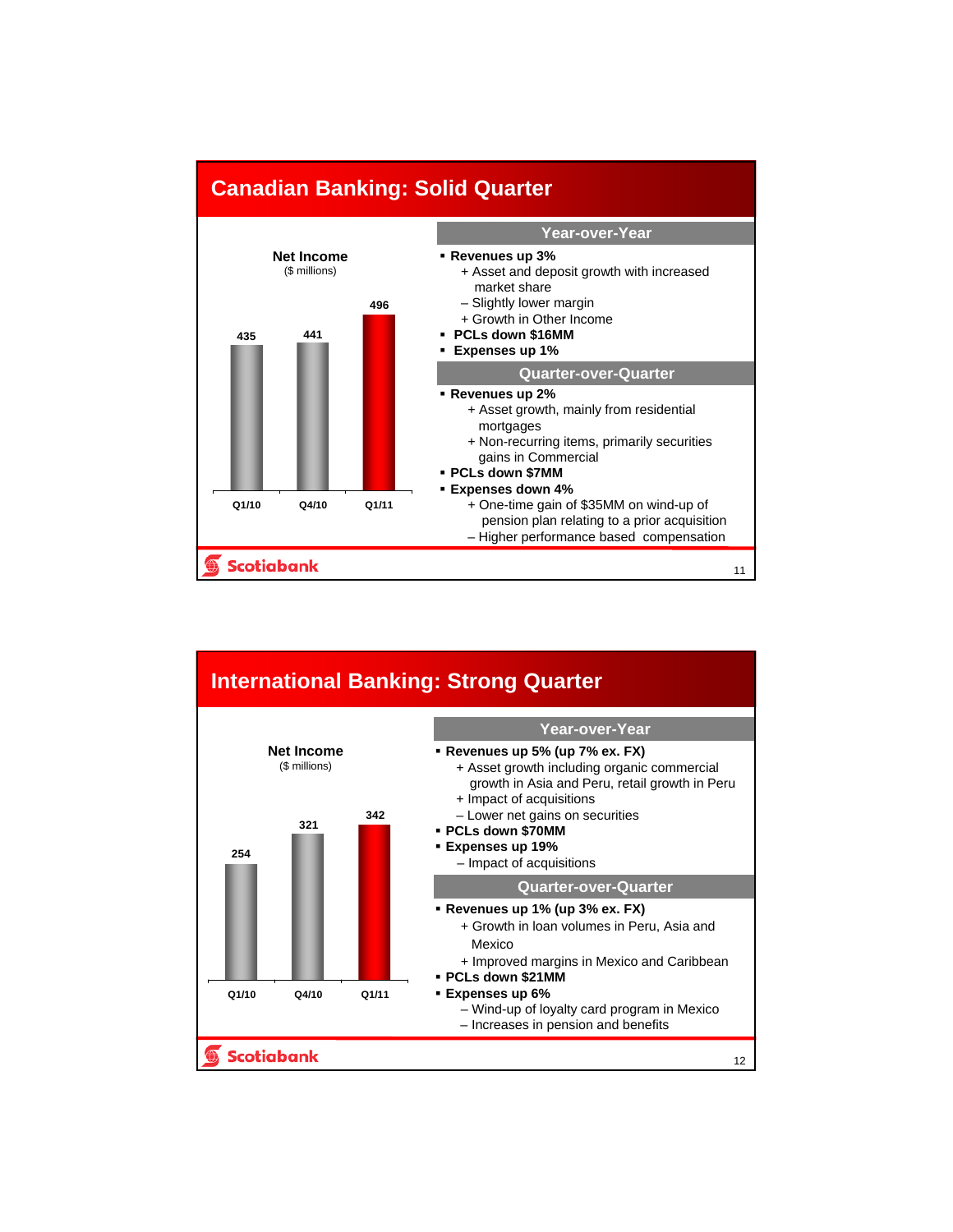

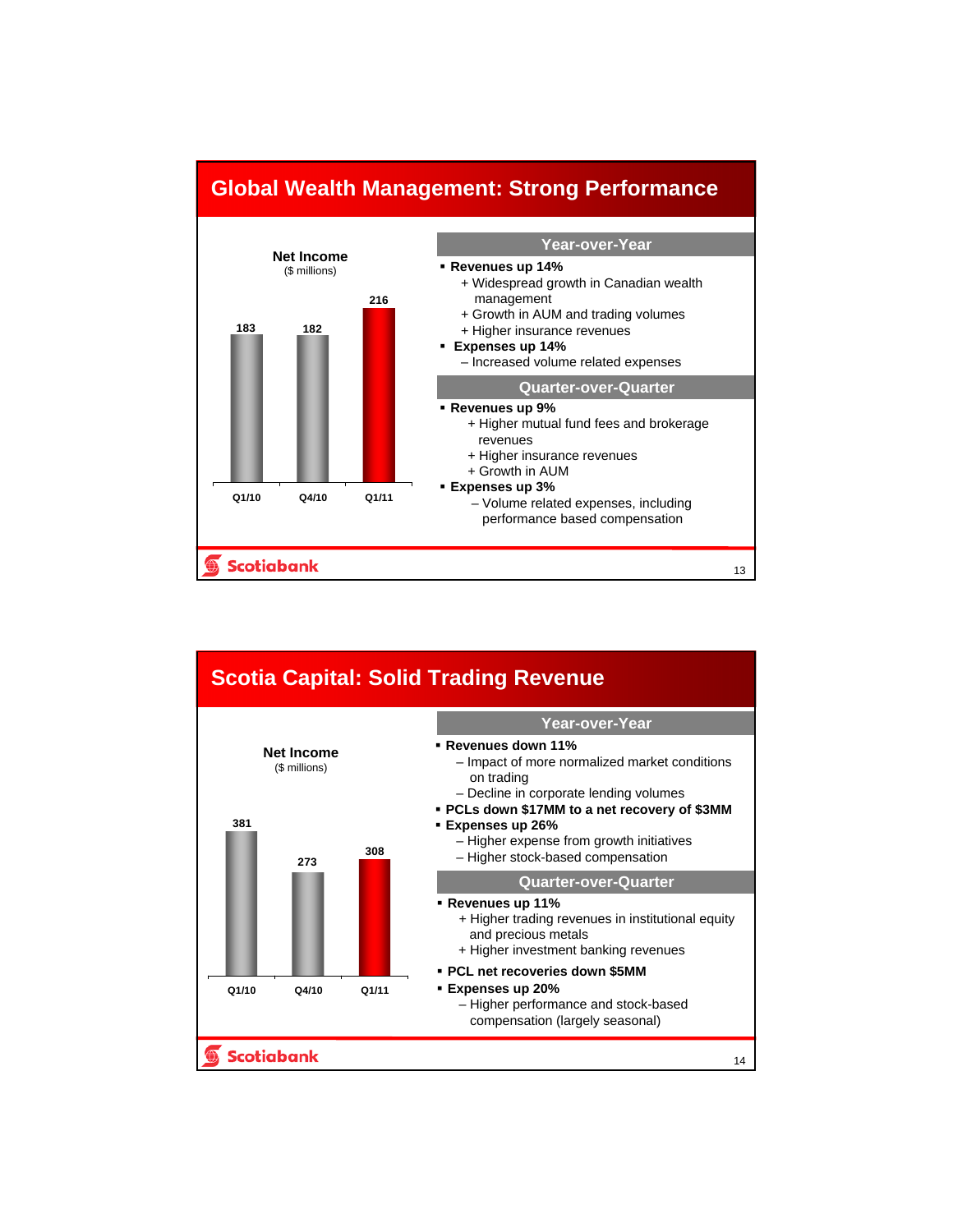

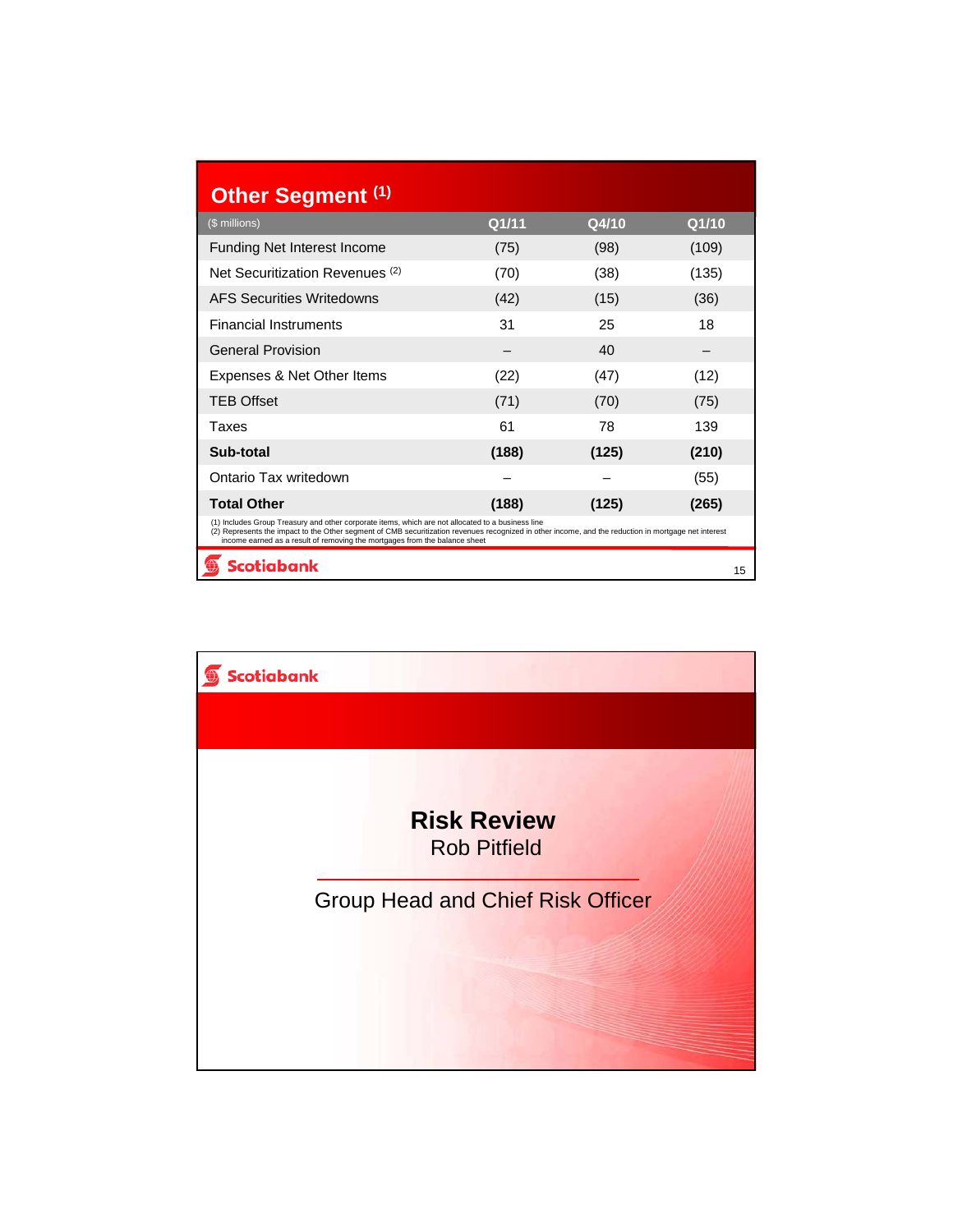| Other Segment (1)                                                                                                                                                                                                                                                                                                                       |       |       |       |  |  |  |
|-----------------------------------------------------------------------------------------------------------------------------------------------------------------------------------------------------------------------------------------------------------------------------------------------------------------------------------------|-------|-------|-------|--|--|--|
| (\$ millions)                                                                                                                                                                                                                                                                                                                           | Q1/11 | Q4/10 | Q1/10 |  |  |  |
| <b>Funding Net Interest Income</b>                                                                                                                                                                                                                                                                                                      | (75)  | (98)  | (109) |  |  |  |
| Net Securitization Revenues <sup>(2)</sup>                                                                                                                                                                                                                                                                                              | (70)  | (38)  | (135) |  |  |  |
| <b>AFS Securities Writedowns</b>                                                                                                                                                                                                                                                                                                        | (42)  | (15)  | (36)  |  |  |  |
| <b>Financial Instruments</b>                                                                                                                                                                                                                                                                                                            | 31    | 25    | 18    |  |  |  |
| <b>General Provision</b>                                                                                                                                                                                                                                                                                                                |       | 40    |       |  |  |  |
| Expenses & Net Other Items                                                                                                                                                                                                                                                                                                              | (22)  | (47)  | (12)  |  |  |  |
| <b>TEB Offset</b>                                                                                                                                                                                                                                                                                                                       | (71)  | (70)  | (75)  |  |  |  |
| Taxes                                                                                                                                                                                                                                                                                                                                   | 61    | 78    | 139   |  |  |  |
| Sub-total                                                                                                                                                                                                                                                                                                                               | (188) | (125) | (210) |  |  |  |
| Ontario Tax writedown                                                                                                                                                                                                                                                                                                                   |       |       | (55)  |  |  |  |
| <b>Total Other</b>                                                                                                                                                                                                                                                                                                                      | (188) | (125) | (265) |  |  |  |
| (1) Includes Group Treasury and other corporate items, which are not allocated to a business line<br>(2) Represents the impact to the Other segment of CMB securitization revenues recognized in other income, and the reduction in mortgage net interest<br>income earned as a result of removing the mortgages from the balance sheet |       |       |       |  |  |  |
| <b>Scotiabank</b>                                                                                                                                                                                                                                                                                                                       |       |       | 15    |  |  |  |

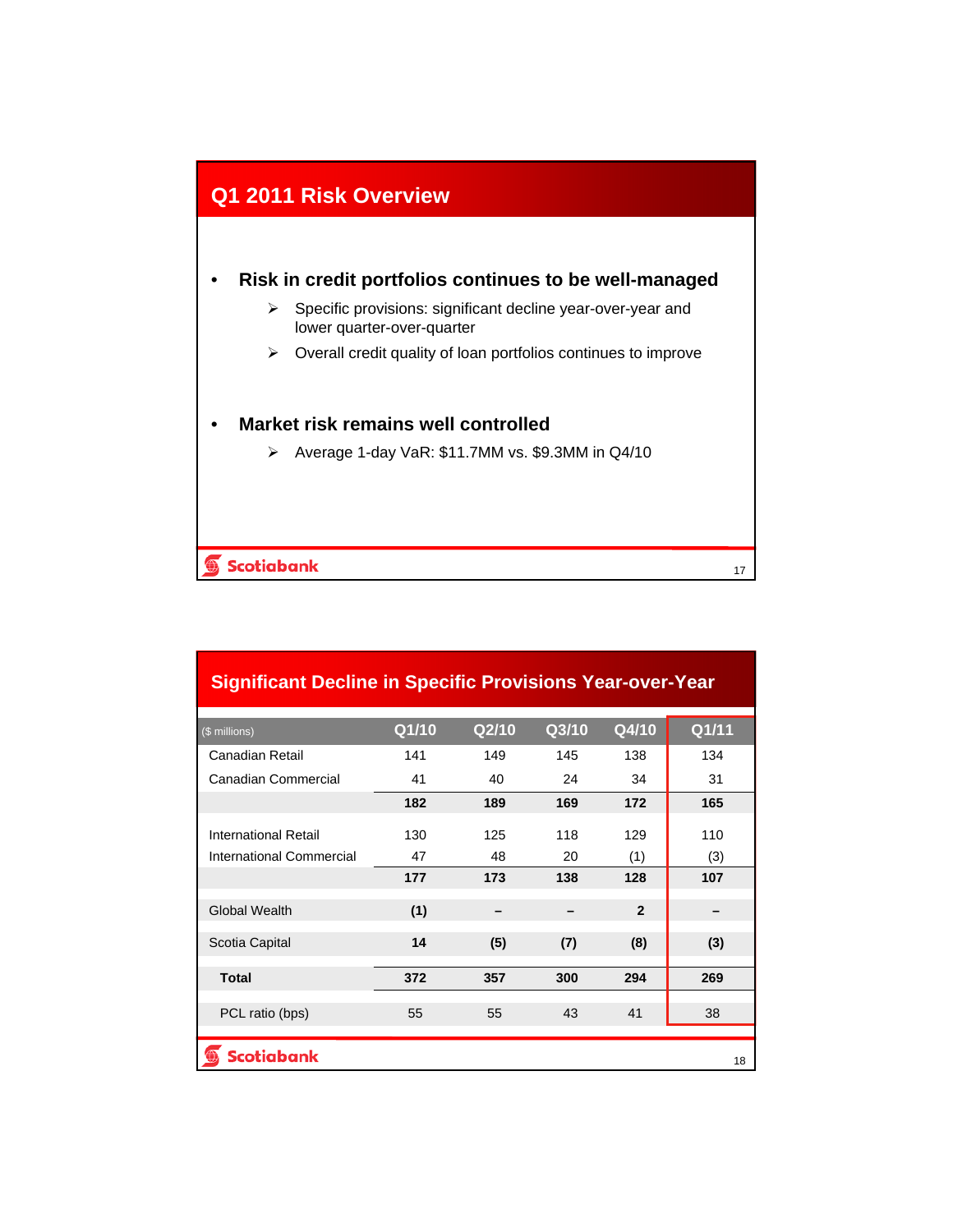

#### • **Risk in credit portfolios continues to be well-managed**

- $\triangleright$  Specific provisions: significant decline year-over-year and lower quarter-over-quarter
- $\triangleright$  Overall credit quality of loan portfolios continues to improve

17

#### • **Market risk remains well controlled**

Average 1-day VaR: \$11.7MM vs. \$9.3MM in Q4/10

#### **Scotiabank**  $\bigoplus$

| <b>Significant Decline in Specific Provisions Year-over-Year</b> |       |       |       |              |       |  |  |
|------------------------------------------------------------------|-------|-------|-------|--------------|-------|--|--|
| (\$ millions)                                                    | Q1/10 | Q2/10 | Q3/10 | Q4/10        | Q1/11 |  |  |
| Canadian Retail                                                  | 141   | 149   | 145   | 138          | 134   |  |  |
| Canadian Commercial                                              | 41    | 40    | 24    | 34           | 31    |  |  |
|                                                                  | 182   | 189   | 169   | 172          | 165   |  |  |
| International Retail                                             | 130   | 125   | 118   | 129          | 110   |  |  |
| International Commercial                                         | 47    | 48    | 20    | (1)          | (3)   |  |  |
|                                                                  | 177   | 173   | 138   | 128          | 107   |  |  |
| <b>Global Wealth</b>                                             | (1)   |       |       | $\mathbf{2}$ |       |  |  |
| Scotia Capital                                                   | 14    | (5)   | (7)   | (8)          | (3)   |  |  |
| <b>Total</b>                                                     | 372   | 357   | 300   | 294          | 269   |  |  |
| PCL ratio (bps)                                                  | 55    | 55    | 43    | 41           | 38    |  |  |
| <b>Scotiabank</b>                                                |       |       |       |              | 18    |  |  |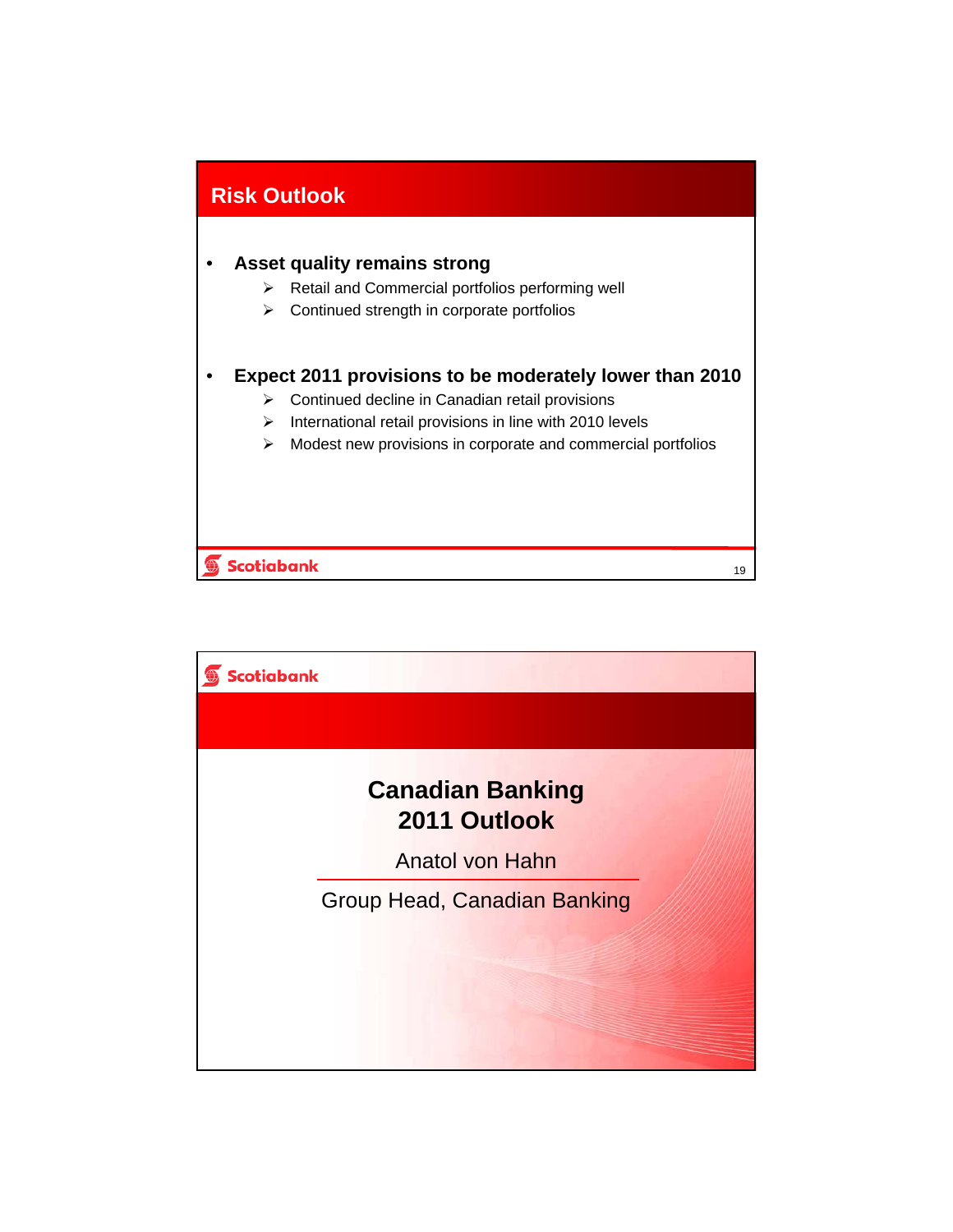

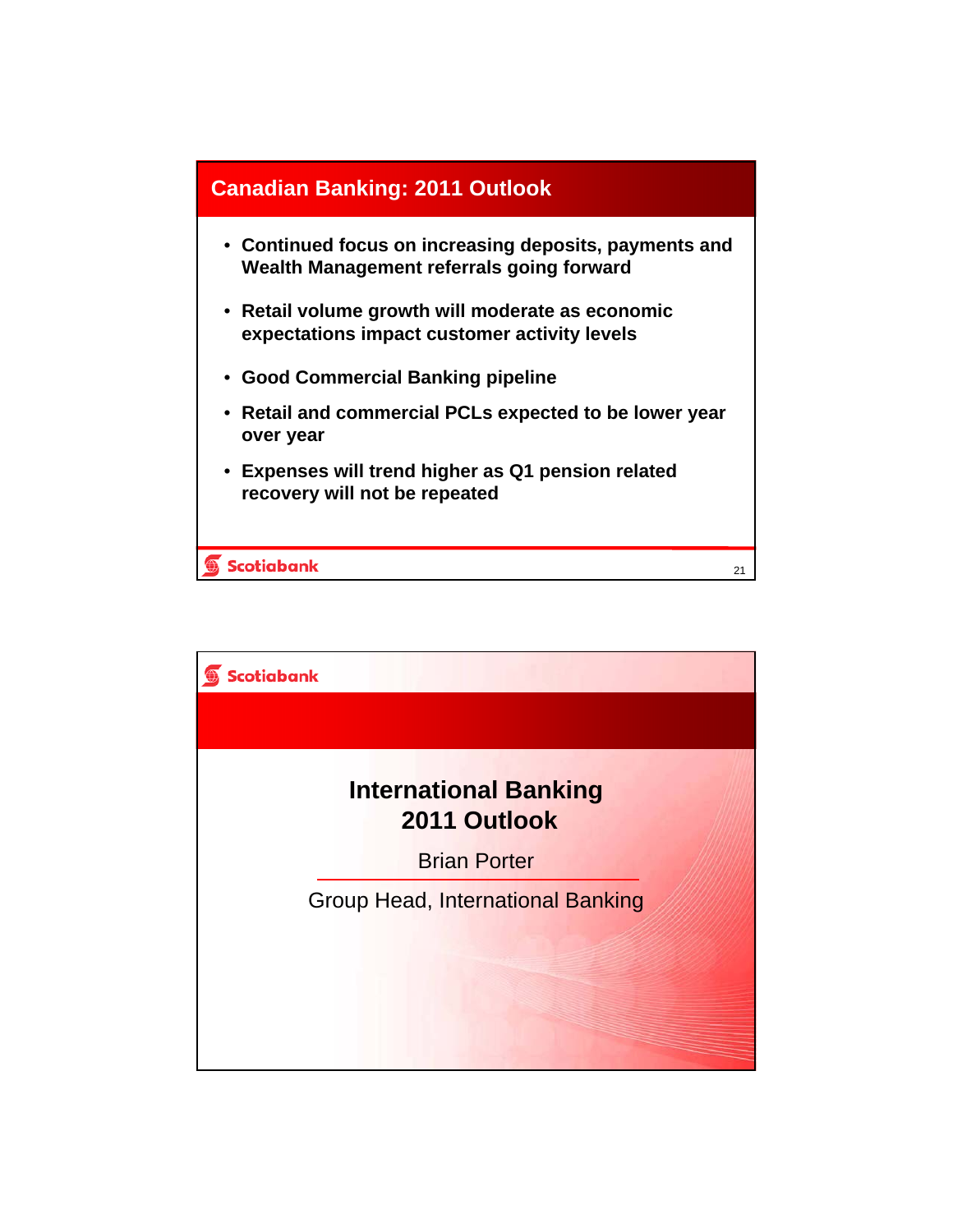

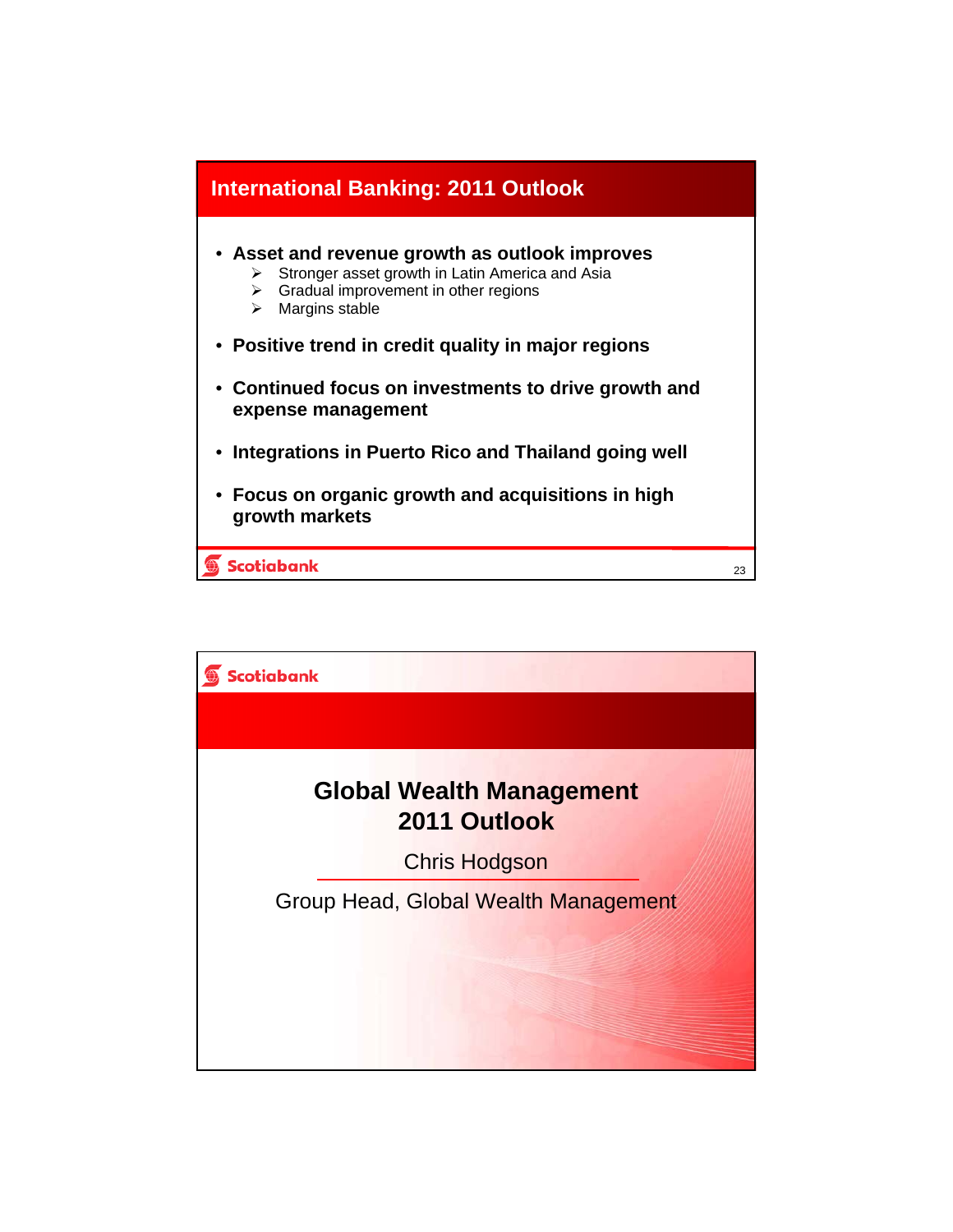

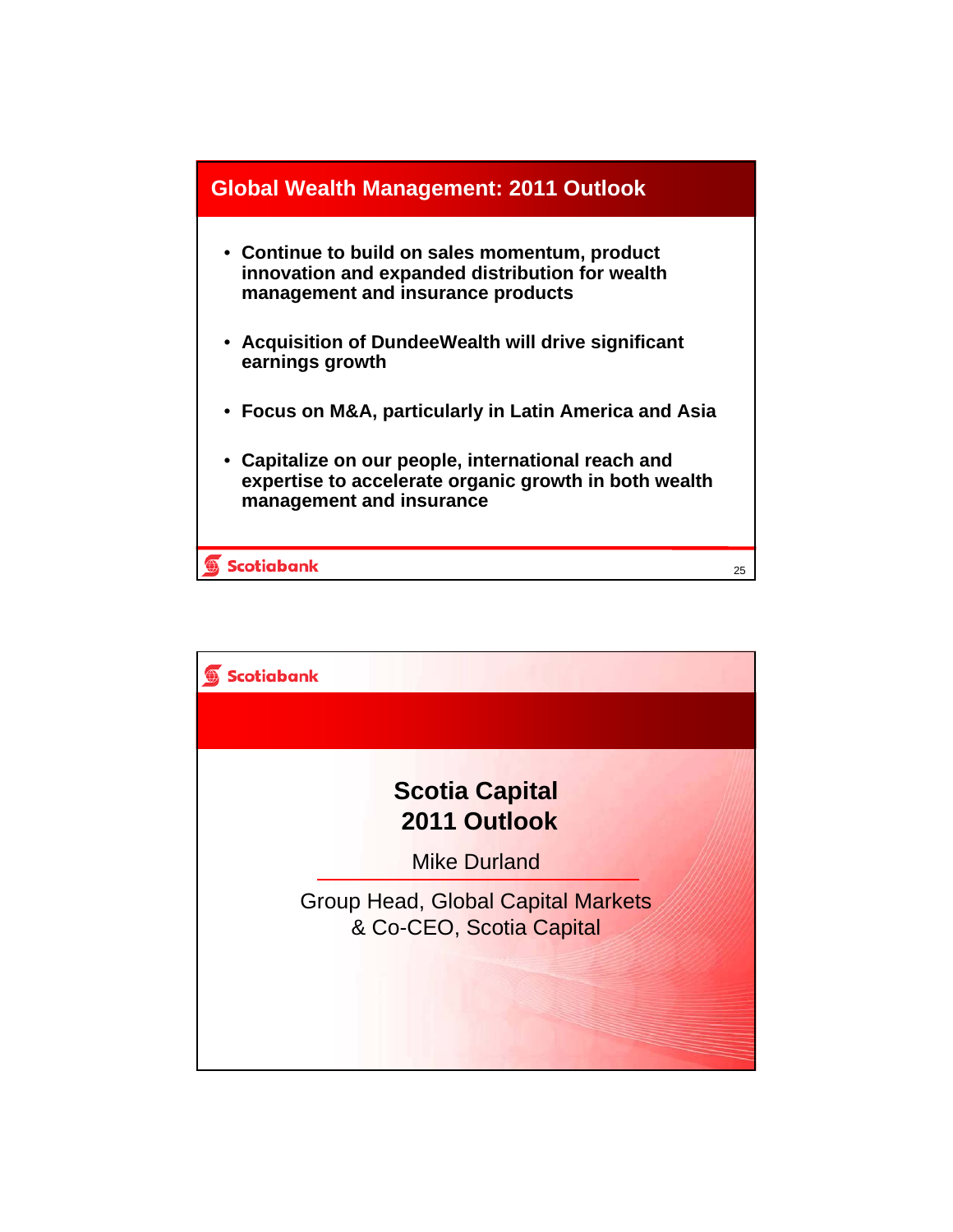

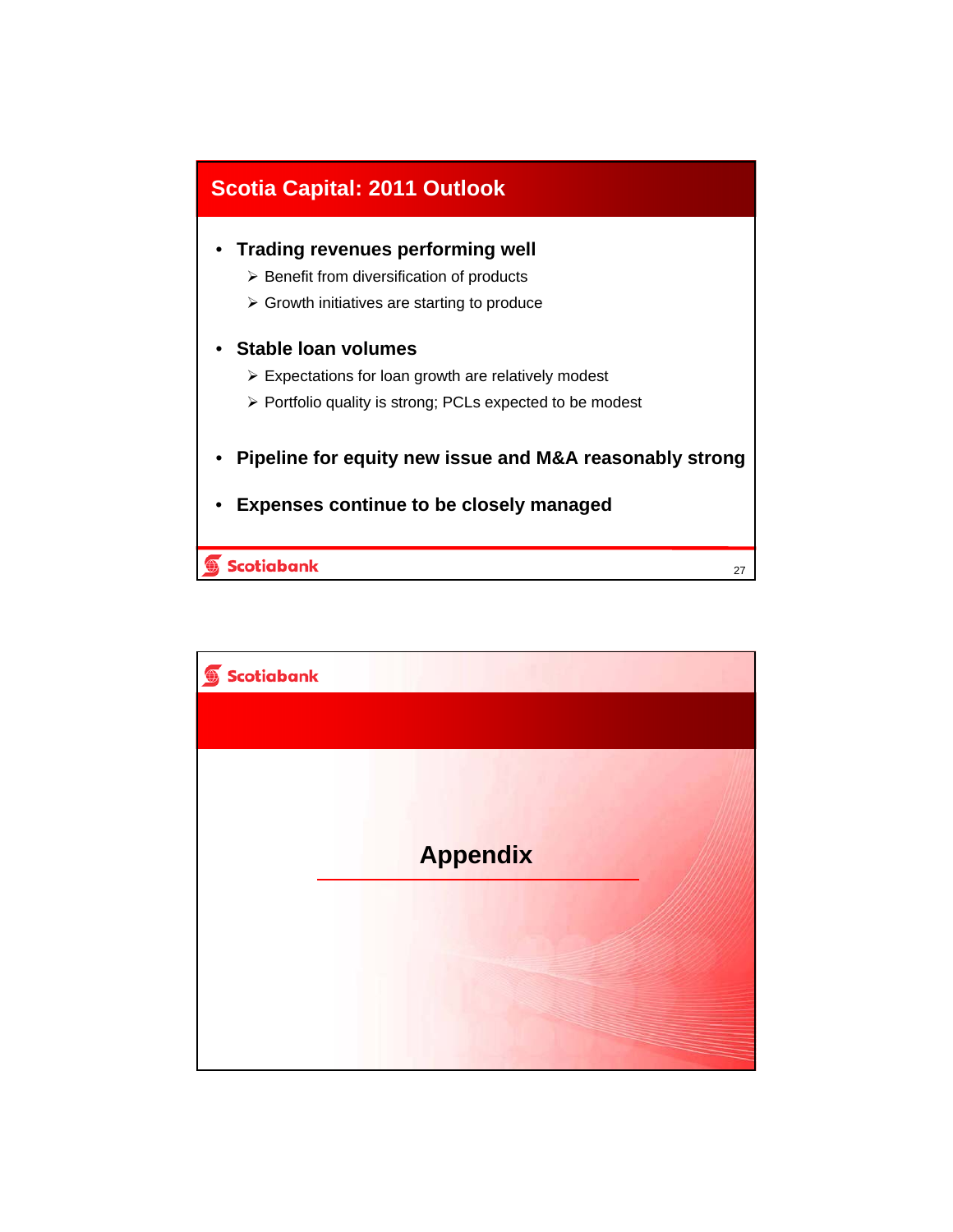

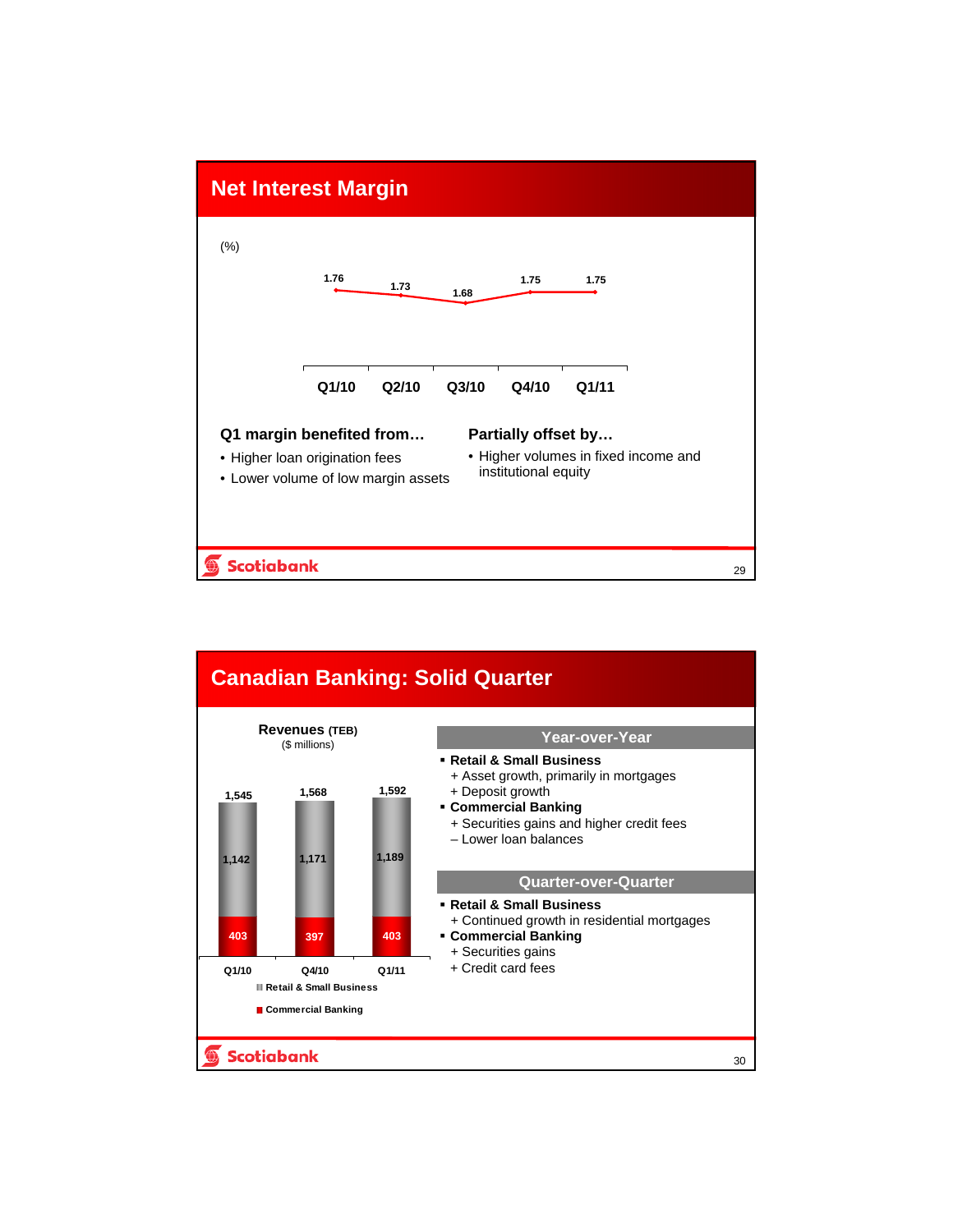

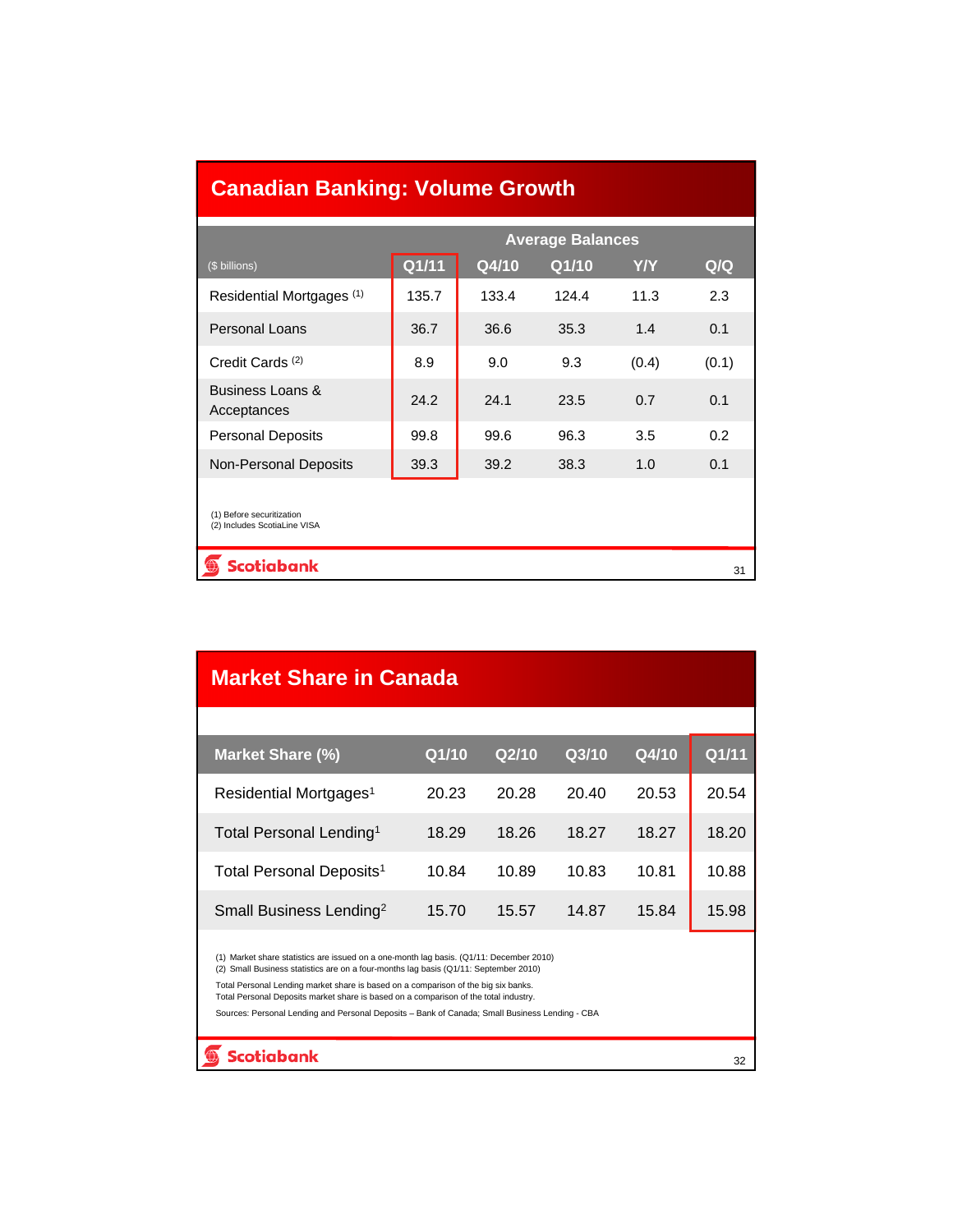| <b>Canadian Banking: Volume Growth</b>                    |       |       |       |            |       |  |  |
|-----------------------------------------------------------|-------|-------|-------|------------|-------|--|--|
| <b>Average Balances</b>                                   |       |       |       |            |       |  |  |
| (\$ billions)                                             | Q1/11 | Q4/10 | Q1/10 | <b>Y/Y</b> | Q/Q   |  |  |
| Residential Mortgages (1)                                 | 135.7 | 133.4 | 124.4 | 11.3       | 2.3   |  |  |
| Personal Loans                                            | 36.7  | 36.6  | 35.3  | 1.4        | 0.1   |  |  |
| Credit Cards <sup>(2)</sup>                               | 8.9   | 9.0   | 9.3   | (0.4)      | (0.1) |  |  |
| Business Loans &<br>Acceptances                           | 24.2  | 24.1  | 23.5  | 0.7        | 0.1   |  |  |
| <b>Personal Deposits</b>                                  | 99.8  | 99.6  | 96.3  | 3.5        | 0.2   |  |  |
| <b>Non-Personal Deposits</b>                              | 39.3  | 39.2  | 38.3  | 1.0        | 0.1   |  |  |
| (1) Before securitization<br>(2) Includes ScotiaLine VISA |       |       |       |            |       |  |  |
| <b>Scotiabank</b>                                         |       |       |       |            | 31    |  |  |

| <b>Market Share in Canada</b>                                                                                                                                                                                                                                                                                                                                                                                                                                   |       |       |       |       |       |  |  |
|-----------------------------------------------------------------------------------------------------------------------------------------------------------------------------------------------------------------------------------------------------------------------------------------------------------------------------------------------------------------------------------------------------------------------------------------------------------------|-------|-------|-------|-------|-------|--|--|
|                                                                                                                                                                                                                                                                                                                                                                                                                                                                 |       |       |       |       |       |  |  |
| Market Share (%)                                                                                                                                                                                                                                                                                                                                                                                                                                                | Q1/10 | Q2/10 | Q3/10 | Q4/10 | Q1/11 |  |  |
| Residential Mortgages <sup>1</sup>                                                                                                                                                                                                                                                                                                                                                                                                                              | 20.23 | 20.28 | 20.40 | 20.53 | 20.54 |  |  |
| Total Personal Lending <sup>1</sup>                                                                                                                                                                                                                                                                                                                                                                                                                             | 18.29 | 18.26 | 18.27 | 18.27 | 18.20 |  |  |
| Total Personal Deposits <sup>1</sup>                                                                                                                                                                                                                                                                                                                                                                                                                            | 10.84 | 10.89 | 10.83 | 10.81 | 10.88 |  |  |
| Small Business Lending <sup>2</sup>                                                                                                                                                                                                                                                                                                                                                                                                                             | 15.70 | 15.57 | 14.87 | 15.84 | 15.98 |  |  |
| (1) Market share statistics are issued on a one-month lag basis. (Q1/11: December 2010)<br>(2) Small Business statistics are on a four-months lag basis (Q1/11: September 2010)<br>Total Personal Lending market share is based on a comparison of the big six banks.<br>Total Personal Deposits market share is based on a comparison of the total industry.<br>Sources: Personal Lending and Personal Deposits - Bank of Canada; Small Business Lending - CBA |       |       |       |       |       |  |  |
| Scotiabank                                                                                                                                                                                                                                                                                                                                                                                                                                                      |       |       |       |       | 32    |  |  |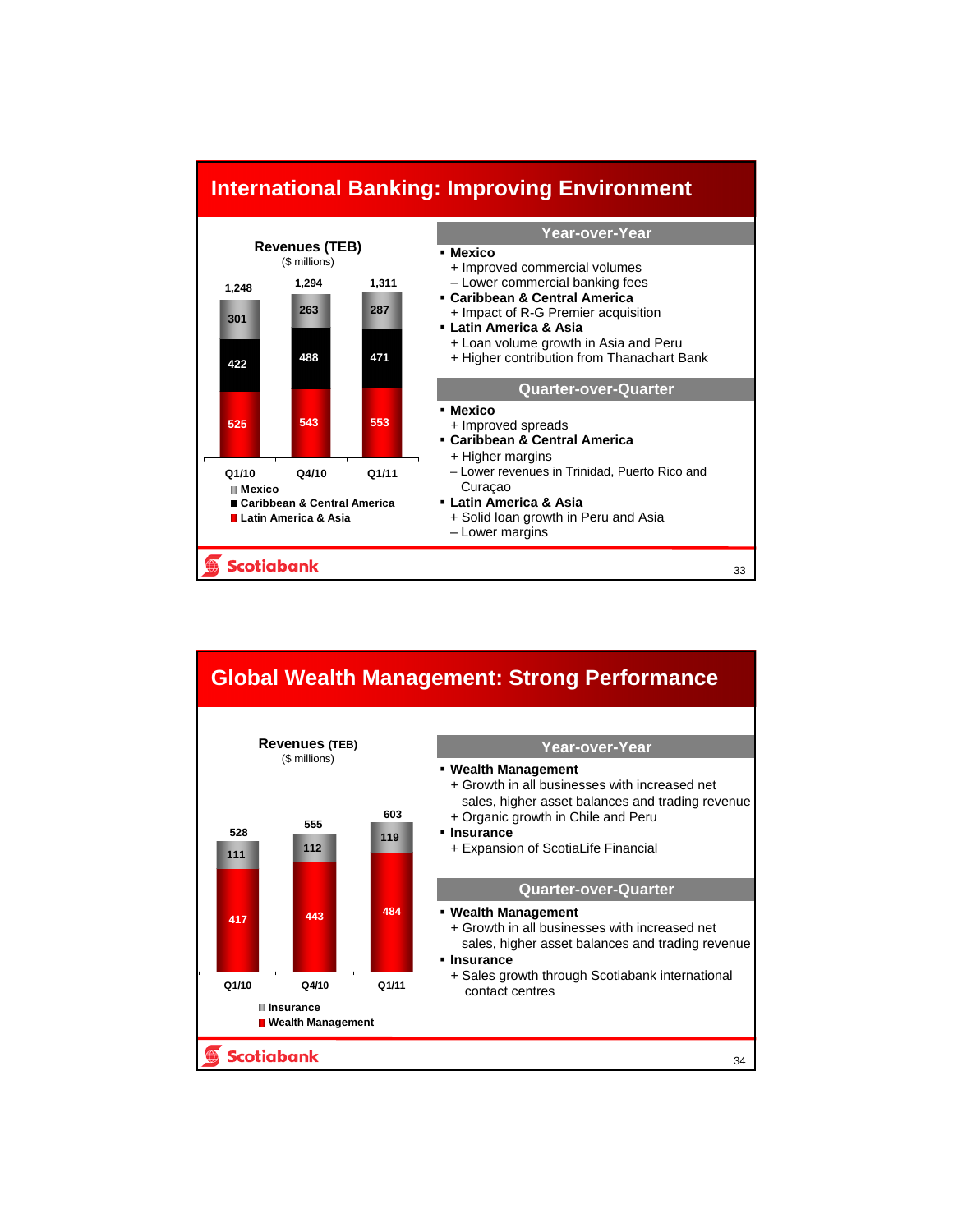

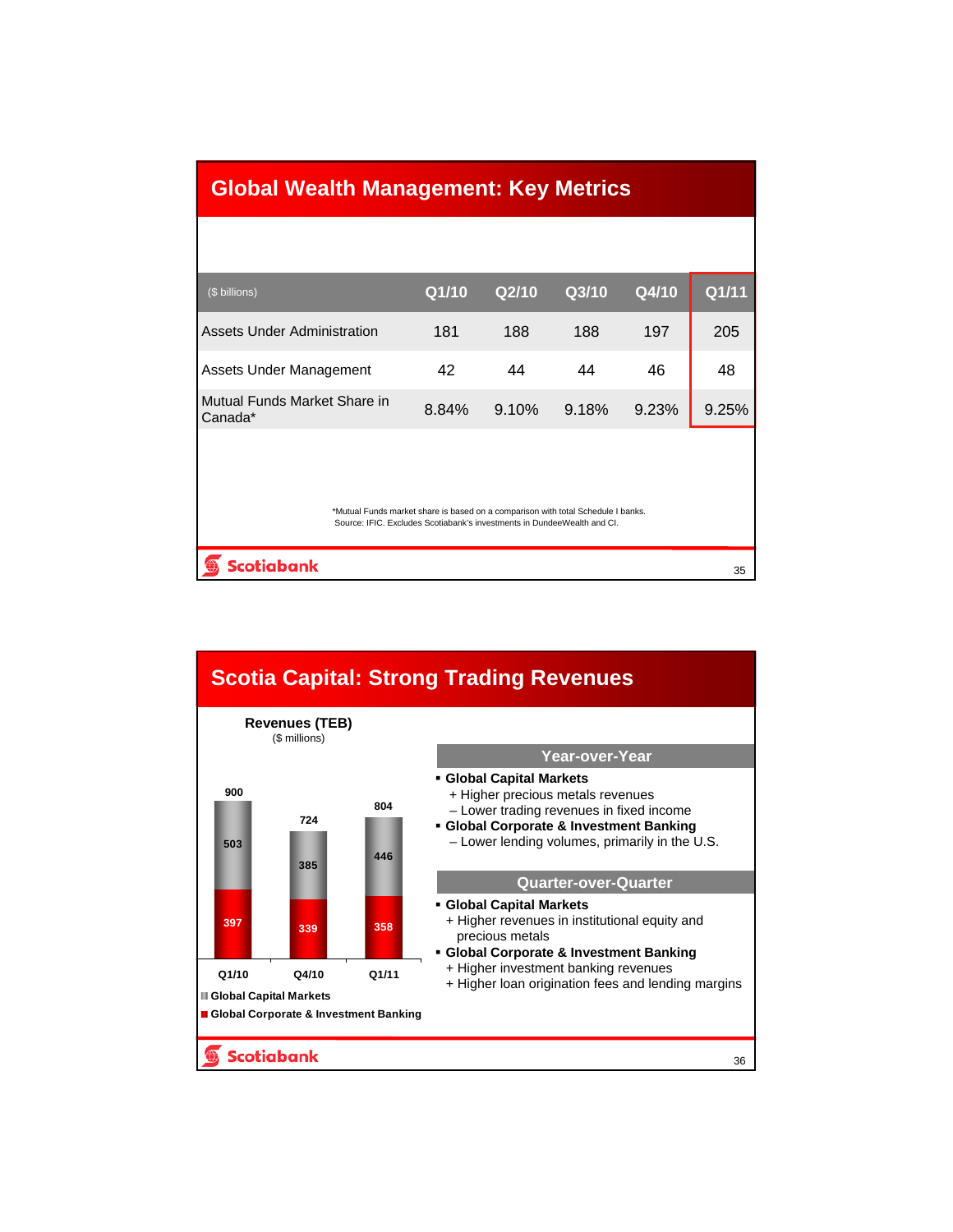| <b>Global Wealth Management: Key Metrics</b>                                                                                                                |       |       |       |       |       |  |  |
|-------------------------------------------------------------------------------------------------------------------------------------------------------------|-------|-------|-------|-------|-------|--|--|
|                                                                                                                                                             |       |       |       |       |       |  |  |
| (\$ billions)                                                                                                                                               | Q1/10 | Q2/10 | Q3/10 | Q4/10 | Q1/11 |  |  |
| <b>Assets Under Administration</b>                                                                                                                          | 181   | 188   | 188   | 197   | 205   |  |  |
| Assets Under Management                                                                                                                                     | 42    | 44    | 44    | 46    | 48    |  |  |
| Mutual Funds Market Share in<br>Canada*                                                                                                                     | 8.84% | 9.10% | 9.18% | 9.23% | 9.25% |  |  |
|                                                                                                                                                             |       |       |       |       |       |  |  |
| *Mutual Funds market share is based on a comparison with total Schedule I banks.<br>Source: IFIC. Excludes Scotiabank's investments in DundeeWealth and CI. |       |       |       |       |       |  |  |
| <b>Scotiabank</b>                                                                                                                                           |       |       |       |       | 35    |  |  |

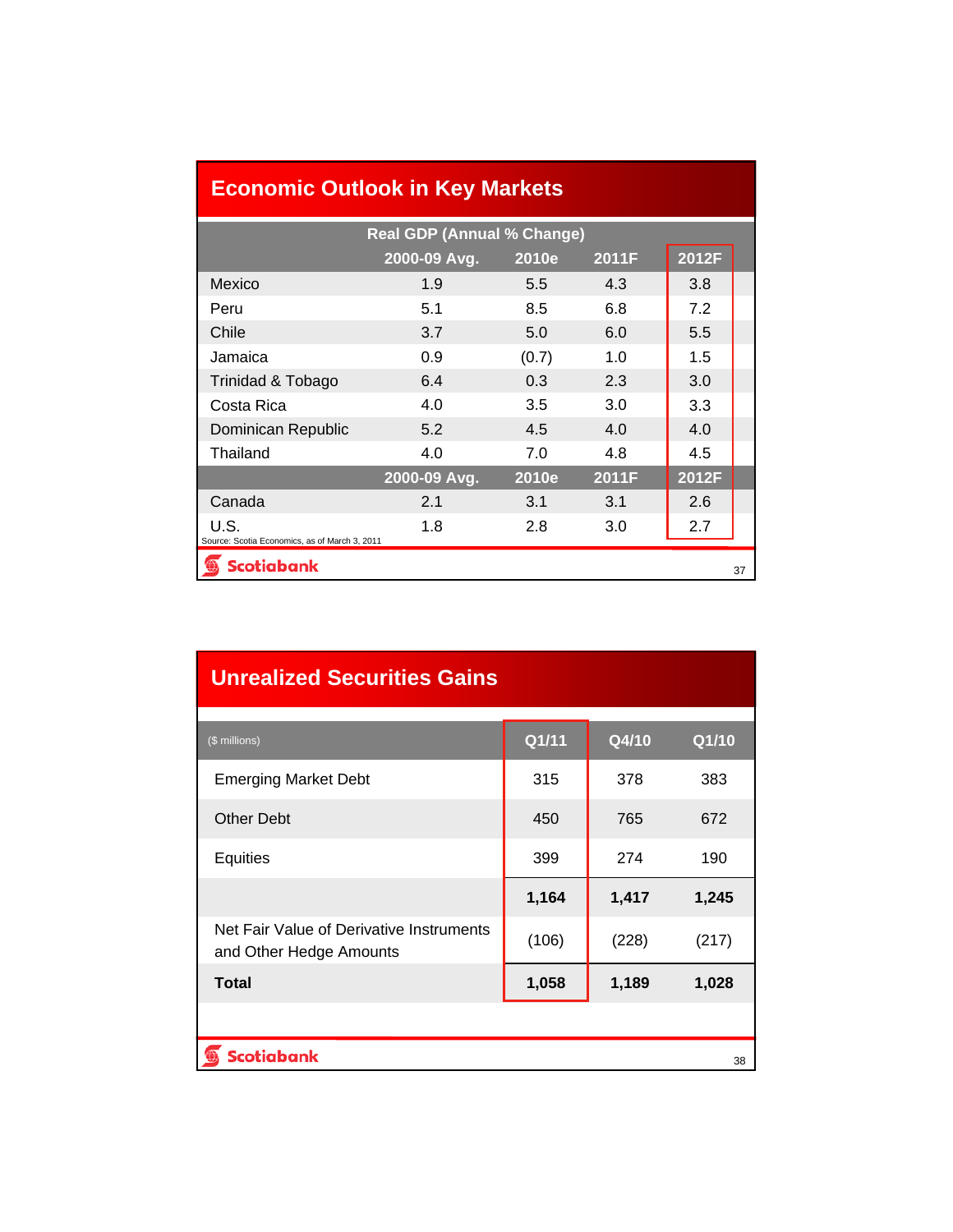# **Economic Outlook in Key Markets**

| <b>Real GDP (Annual % Change)</b>             |              |               |       |       |    |  |  |  |
|-----------------------------------------------|--------------|---------------|-------|-------|----|--|--|--|
|                                               | 2000-09 Avg. | 2010e         | 2011F | 2012F |    |  |  |  |
| Mexico                                        | 1.9          | $5.5^{\circ}$ | 4.3   | 3.8   |    |  |  |  |
| Peru                                          | 5.1          | 8.5           | 6.8   | 7.2   |    |  |  |  |
| Chile                                         | 3.7          | 5.0           | 6.0   | 5.5   |    |  |  |  |
| Jamaica                                       | 0.9          | (0.7)         | 1.0   | 1.5   |    |  |  |  |
| Trinidad & Tobago                             | 6.4          | 0.3           | 2.3   | 3.0   |    |  |  |  |
| Costa Rica                                    | 4.0          | 3.5           | 3.0   | 3.3   |    |  |  |  |
| Dominican Republic                            | 5.2          | 4.5           | 4.0   | 4.0   |    |  |  |  |
| Thailand                                      | 4.0          | 7.0           | 4.8   | 4.5   |    |  |  |  |
|                                               | 2000-09 Avg. | 2010e         | 2011F | 2012F |    |  |  |  |
| Canada                                        | 2.1          | 3.1           | 3.1   | 2.6   |    |  |  |  |
| U.S.                                          | 1.8          | 2.8           | 3.0   | 2.7   |    |  |  |  |
| Source: Scotia Economics, as of March 3, 2011 |              |               |       |       |    |  |  |  |
| <b>Scotiabank</b>                             |              |               |       |       | 37 |  |  |  |

| <b>Unrealized Securities Gains</b>                                  |       |       |       |  |  |  |  |
|---------------------------------------------------------------------|-------|-------|-------|--|--|--|--|
| (\$ millions)                                                       | Q1/11 | Q4/10 | Q1/10 |  |  |  |  |
| <b>Emerging Market Debt</b>                                         | 315   | 378   | 383   |  |  |  |  |
| <b>Other Debt</b>                                                   | 450   | 765   | 672   |  |  |  |  |
| Equities                                                            | 399   | 274   | 190   |  |  |  |  |
|                                                                     | 1,164 | 1,417 | 1,245 |  |  |  |  |
| Net Fair Value of Derivative Instruments<br>and Other Hedge Amounts | (106) | (228) | (217) |  |  |  |  |
| <b>Total</b>                                                        | 1,058 | 1,189 | 1,028 |  |  |  |  |
|                                                                     |       |       |       |  |  |  |  |
| <b>Scotiabank</b>                                                   |       |       | 38    |  |  |  |  |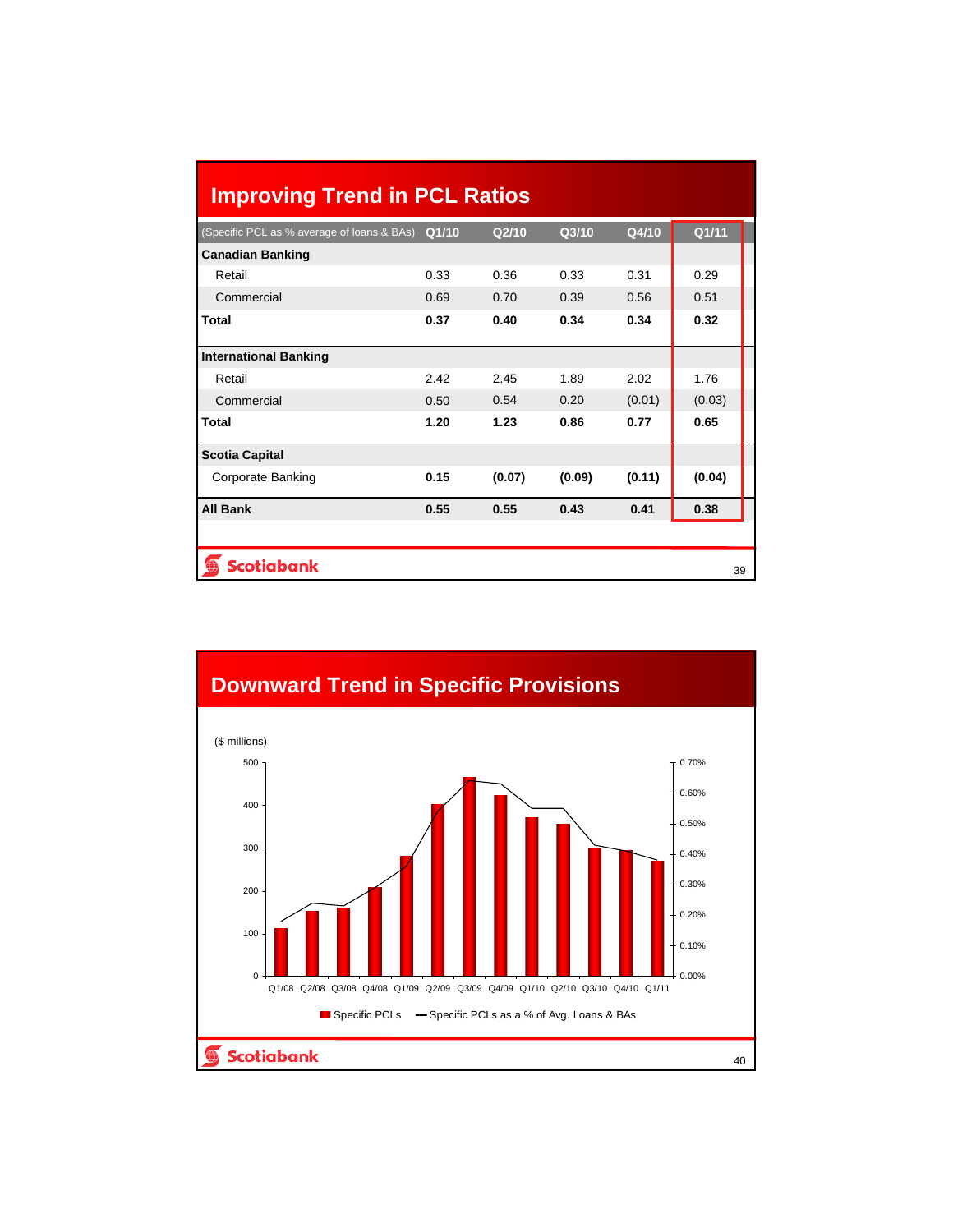| <b>Improving Trend in PCL Ratios</b>       |       |                   |        |        |        |  |
|--------------------------------------------|-------|-------------------|--------|--------|--------|--|
| (Specific PCL as % average of loans & BAs) | Q1/10 | Q <sub>2/10</sub> | Q3/10  | Q4/10  | Q1/11  |  |
| <b>Canadian Banking</b>                    |       |                   |        |        |        |  |
| Retail                                     | 0.33  | 0.36              | 0.33   | 0.31   | 0.29   |  |
| Commercial                                 | 0.69  | 0.70              | 0.39   | 0.56   | 0.51   |  |
| <b>Total</b>                               | 0.37  | 0.40              | 0.34   | 0.34   | 0.32   |  |
| <b>International Banking</b>               |       |                   |        |        |        |  |
| Retail                                     | 2.42  | 2.45              | 1.89   | 2.02   | 1.76   |  |
| Commercial                                 | 0.50  | 0.54              | 0.20   | (0.01) | (0.03) |  |
| <b>Total</b>                               | 1.20  | 1.23              | 0.86   | 0.77   | 0.65   |  |
| <b>Scotia Capital</b>                      |       |                   |        |        |        |  |
| Corporate Banking                          | 0.15  | (0.07)            | (0.09) | (0.11) | (0.04) |  |
| <b>All Bank</b>                            | 0.55  | 0.55              | 0.43   | 0.41   | 0.38   |  |
| <b>Scotiabank</b><br>39                    |       |                   |        |        |        |  |

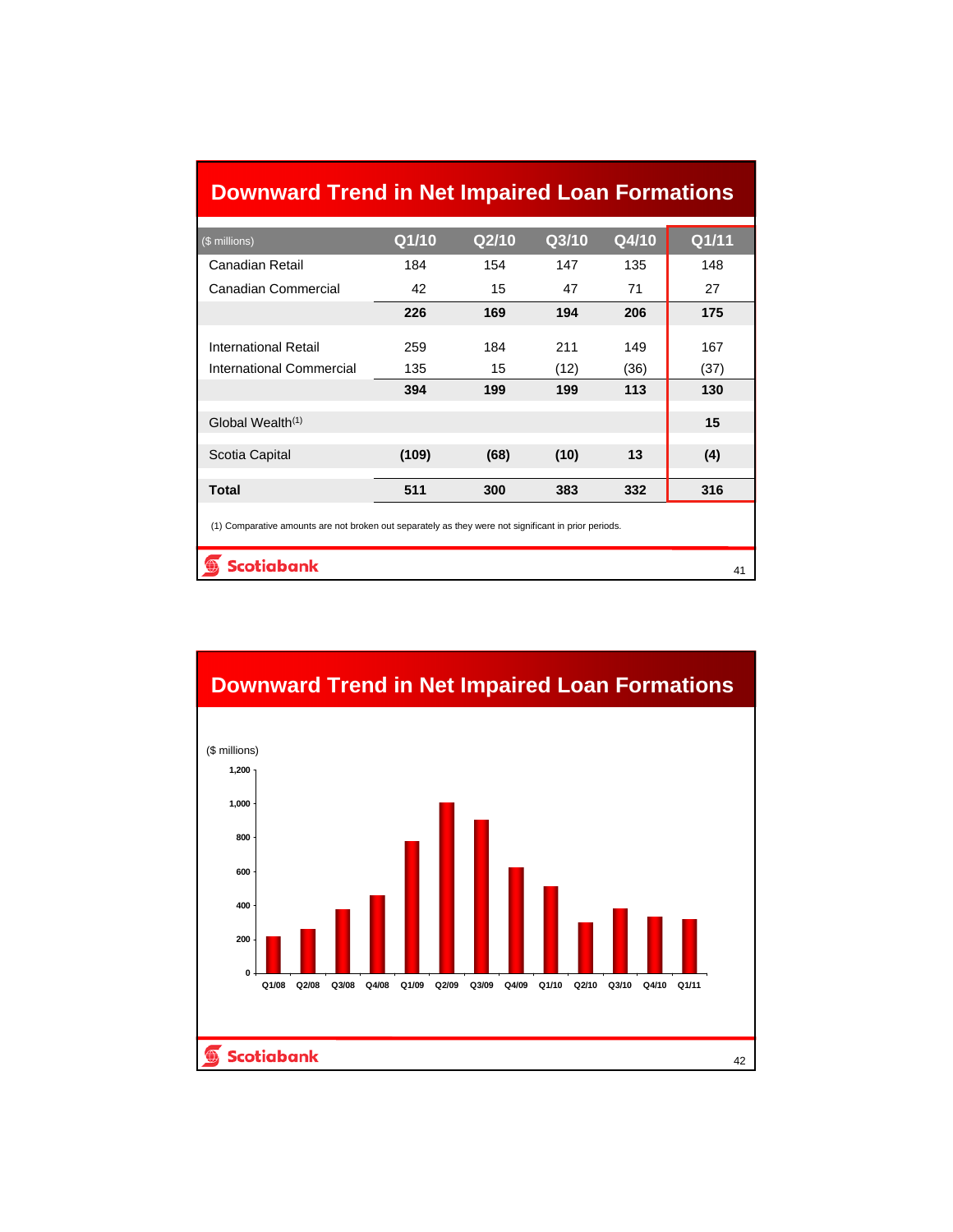# **Downward Trend in Net Impaired Loan Formations**

| (\$ millions)                                                                                        | Q1/10 | Q2/10 | Q3/10 | Q4/10 | Q1/11 |  |  |
|------------------------------------------------------------------------------------------------------|-------|-------|-------|-------|-------|--|--|
| Canadian Retail                                                                                      | 184   | 154   | 147   | 135   | 148   |  |  |
| Canadian Commercial                                                                                  | 42    | 15    | 47    | 71    | 27    |  |  |
|                                                                                                      | 226   | 169   | 194   | 206   | 175   |  |  |
| <b>International Retail</b>                                                                          | 259   | 184   | 211   | 149   | 167   |  |  |
| International Commercial                                                                             | 135   | 15    | (12)  | (36)  | (37)  |  |  |
|                                                                                                      | 394   | 199   | 199   | 113   | 130   |  |  |
| Global Wealth <sup>(1)</sup>                                                                         |       |       |       |       | 15    |  |  |
| Scotia Capital                                                                                       | (109) | (68)  | (10)  | 13    | (4)   |  |  |
| <b>Total</b>                                                                                         | 511   | 300   | 383   | 332   | 316   |  |  |
| (1) Comparative amounts are not broken out separately as they were not significant in prior periods. |       |       |       |       |       |  |  |
| <b>Scotiabank</b><br>41                                                                              |       |       |       |       |       |  |  |

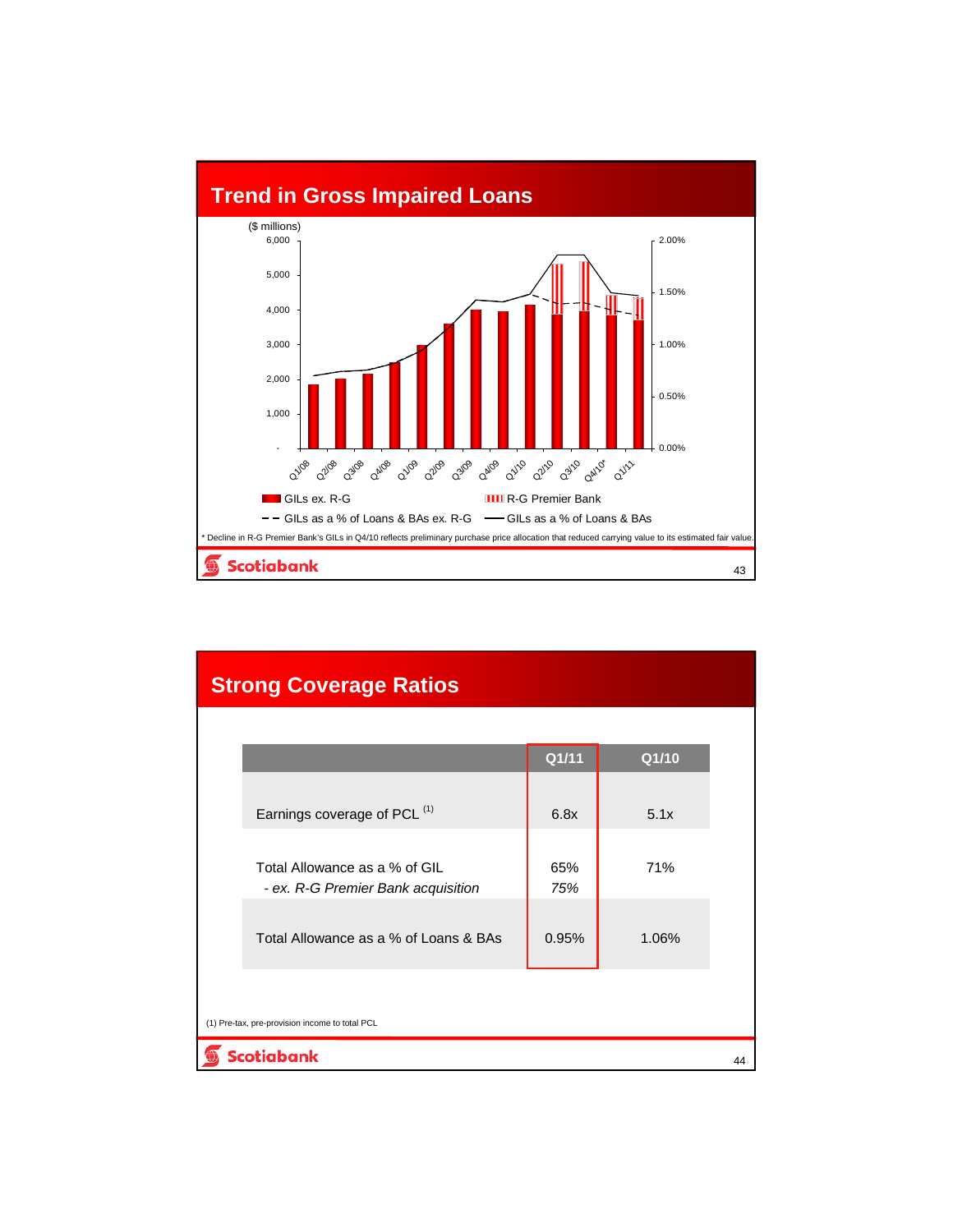

| <b>Strong Coverage Ratios</b> |                                                                     |            |       |    |
|-------------------------------|---------------------------------------------------------------------|------------|-------|----|
|                               |                                                                     |            |       |    |
|                               |                                                                     | Q1/11      | Q1/10 |    |
|                               | Earnings coverage of PCL (1)                                        | 6.8x       | 5.1x  |    |
|                               | Total Allowance as a % of GIL<br>- ex. R-G Premier Bank acquisition | 65%<br>75% | 71%   |    |
|                               | Total Allowance as a % of Loans & BAs                               | 0.95%      | 1.06% |    |
|                               | (1) Pre-tax, pre-provision income to total PCL                      |            |       |    |
| <b>Scotiabank</b>             |                                                                     |            |       | 44 |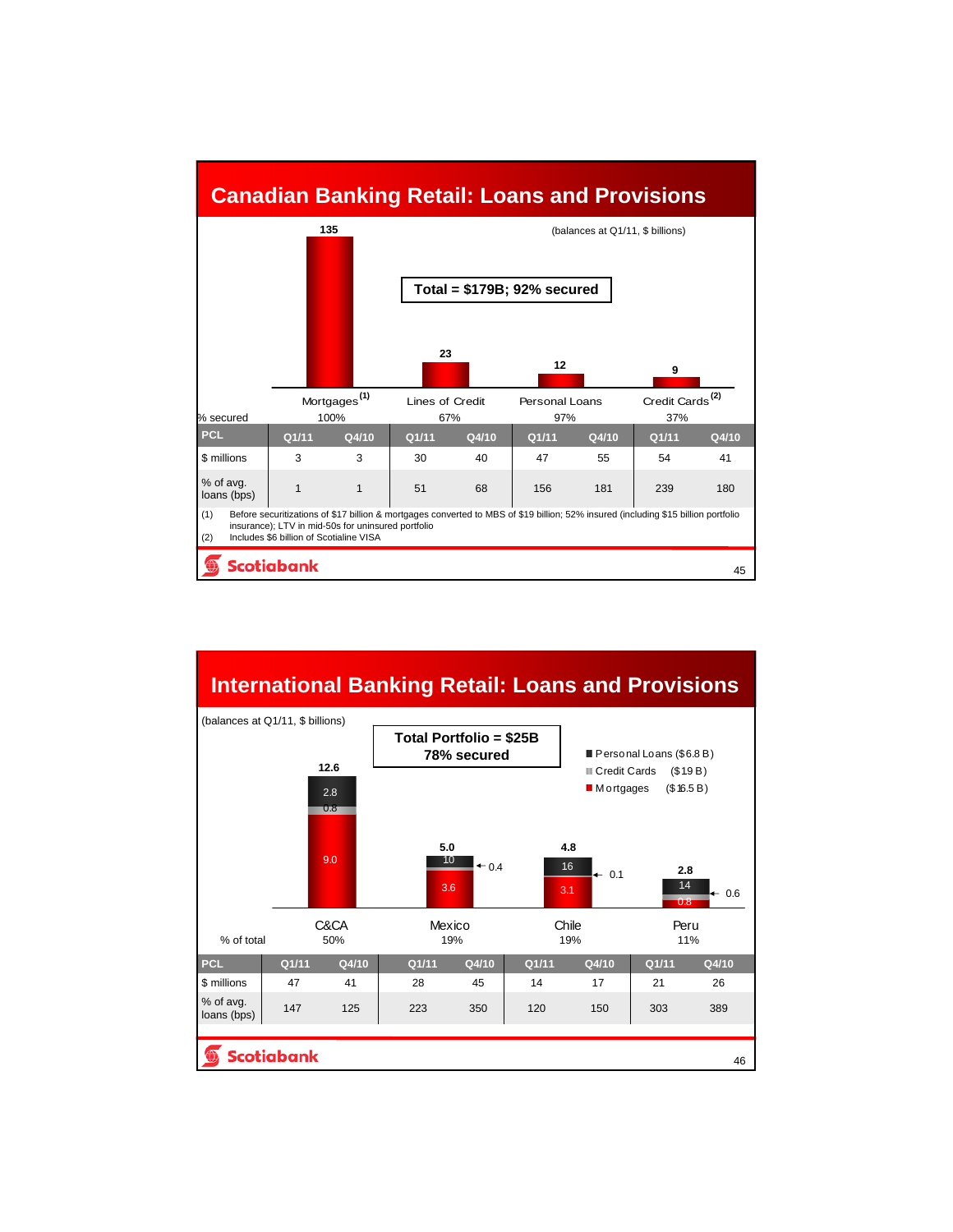### **Canadian Banking Retail: Loans and Provisions**



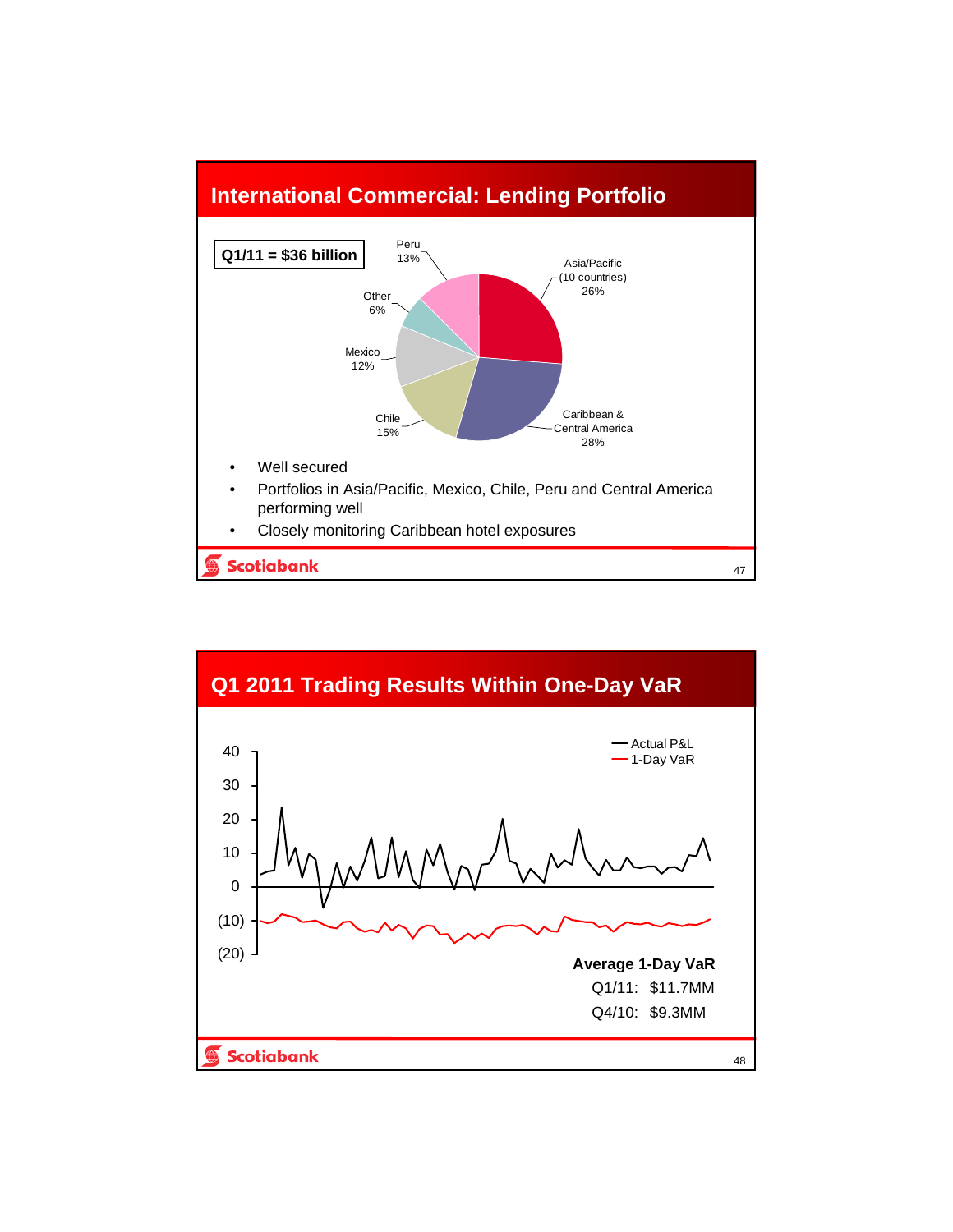